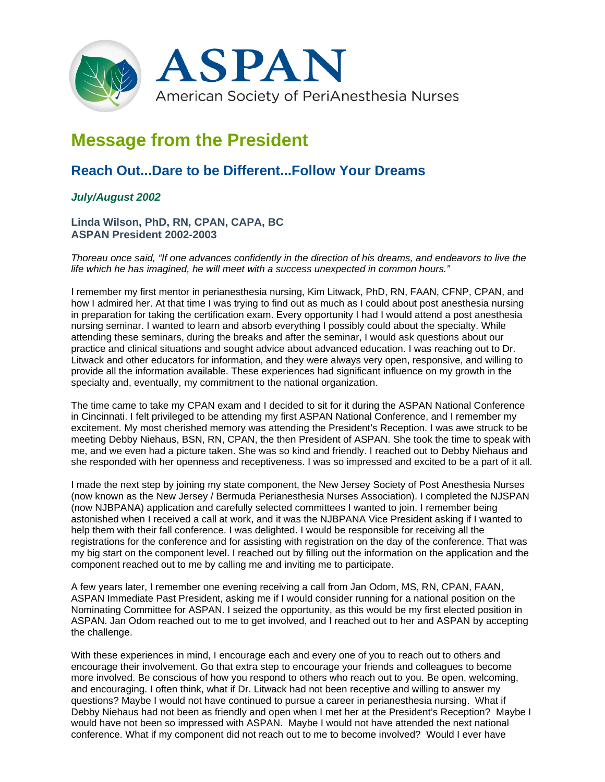

## **Message from the President**

## **Reach Out...Dare to be Different...Follow Your Dreams**

## *July/August 2002*

**Linda Wilson, PhD, RN, CPAN, CAPA, BC ASPAN President 2002-2003**

*Thoreau once said, "If one advances confidently in the direction of his dreams, and endeavors to live the life which he has imagined, he will meet with a success unexpected in common hours."*

I remember my first mentor in perianesthesia nursing, Kim Litwack, PhD, RN, FAAN, CFNP, CPAN, and how I admired her. At that time I was trying to find out as much as I could about post anesthesia nursing in preparation for taking the certification exam. Every opportunity I had I would attend a post anesthesia nursing seminar. I wanted to learn and absorb everything I possibly could about the specialty. While attending these seminars, during the breaks and after the seminar, I would ask questions about our practice and clinical situations and sought advice about advanced education. I was reaching out to Dr. Litwack and other educators for information, and they were always very open, responsive, and willing to provide all the information available. These experiences had significant influence on my growth in the specialty and, eventually, my commitment to the national organization.

The time came to take my CPAN exam and I decided to sit for it during the ASPAN National Conference in Cincinnati. I felt privileged to be attending my first ASPAN National Conference, and I remember my excitement. My most cherished memory was attending the President's Reception. I was awe struck to be meeting Debby Niehaus, BSN, RN, CPAN, the then President of ASPAN. She took the time to speak with me, and we even had a picture taken. She was so kind and friendly. I reached out to Debby Niehaus and she responded with her openness and receptiveness. I was so impressed and excited to be a part of it all.

I made the next step by joining my state component, the New Jersey Society of Post Anesthesia Nurses (now known as the New Jersey / Bermuda Perianesthesia Nurses Association). I completed the NJSPAN (now NJBPANA) application and carefully selected committees I wanted to join. I remember being astonished when I received a call at work, and it was the NJBPANA Vice President asking if I wanted to help them with their fall conference. I was delighted. I would be responsible for receiving all the registrations for the conference and for assisting with registration on the day of the conference. That was my big start on the component level. I reached out by filling out the information on the application and the component reached out to me by calling me and inviting me to participate.

A few years later, I remember one evening receiving a call from Jan Odom, MS, RN, CPAN, FAAN, ASPAN Immediate Past President, asking me if I would consider running for a national position on the Nominating Committee for ASPAN. I seized the opportunity, as this would be my first elected position in ASPAN. Jan Odom reached out to me to get involved, and I reached out to her and ASPAN by accepting the challenge.

With these experiences in mind, I encourage each and every one of you to reach out to others and encourage their involvement. Go that extra step to encourage your friends and colleagues to become more involved. Be conscious of how you respond to others who reach out to you. Be open, welcoming, and encouraging. I often think, what if Dr. Litwack had not been receptive and willing to answer my questions? Maybe I would not have continued to pursue a career in perianesthesia nursing. What if Debby Niehaus had not been as friendly and open when I met her at the President's Reception? Maybe I would have not been so impressed with ASPAN. Maybe I would not have attended the next national conference. What if my component did not reach out to me to become involved? Would I ever have